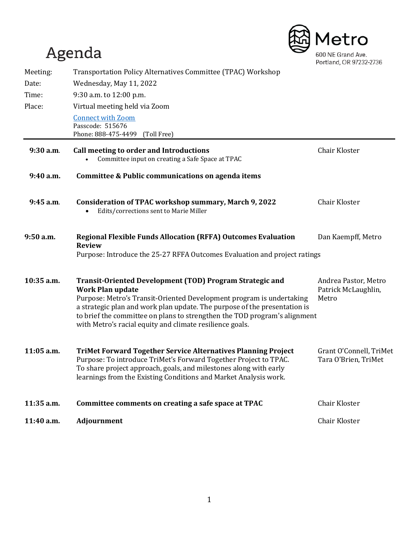# Agenda



| Meeting:    | Transportation Policy Alternatives Committee (TPAC) Workshop                                                                                                                                                                                                                                                                                                                      |                                                      |
|-------------|-----------------------------------------------------------------------------------------------------------------------------------------------------------------------------------------------------------------------------------------------------------------------------------------------------------------------------------------------------------------------------------|------------------------------------------------------|
| Date:       | Wednesday, May 11, 2022                                                                                                                                                                                                                                                                                                                                                           |                                                      |
| Time:       | 9:30 a.m. to 12:00 p.m.                                                                                                                                                                                                                                                                                                                                                           |                                                      |
| Place:      | Virtual meeting held via Zoom                                                                                                                                                                                                                                                                                                                                                     |                                                      |
|             | <b>Connect with Zoom</b><br>Passcode: 515676<br>Phone: 888-475-4499<br>(Toll Free)                                                                                                                                                                                                                                                                                                |                                                      |
| 9:30 a.m.   | Call meeting to order and Introductions<br>Committee input on creating a Safe Space at TPAC                                                                                                                                                                                                                                                                                       | <b>Chair Kloster</b>                                 |
| 9:40 a.m.   | Committee & Public communications on agenda items                                                                                                                                                                                                                                                                                                                                 |                                                      |
| 9:45 a.m.   | <b>Consideration of TPAC workshop summary, March 9, 2022</b><br>Edits/corrections sent to Marie Miller                                                                                                                                                                                                                                                                            | Chair Kloster                                        |
| $9:50$ a.m. | <b>Regional Flexible Funds Allocation (RFFA) Outcomes Evaluation</b><br><b>Review</b><br>Purpose: Introduce the 25-27 RFFA Outcomes Evaluation and project ratings                                                                                                                                                                                                                | Dan Kaempff, Metro                                   |
| 10:35 a.m.  | Transit-Oriented Development (TOD) Program Strategic and<br><b>Work Plan update</b><br>Purpose: Metro's Transit-Oriented Development program is undertaking<br>a strategic plan and work plan update. The purpose of the presentation is<br>to brief the committee on plans to strengthen the TOD program's alignment<br>with Metro's racial equity and climate resilience goals. | Andrea Pastor, Metro<br>Patrick McLaughlin,<br>Metro |
| 11:05 a.m.  | <b>TriMet Forward Together Service Alternatives Planning Project</b><br>Purpose: To introduce TriMet's Forward Together Project to TPAC.<br>To share project approach, goals, and milestones along with early<br>learnings from the Existing Conditions and Market Analysis work.                                                                                                 | Grant O'Connell, TriMet<br>Tara O'Brien, TriMet      |
| 11:35 a.m.  | Committee comments on creating a safe space at TPAC                                                                                                                                                                                                                                                                                                                               | Chair Kloster                                        |
| 11:40 a.m.  | Adjournment                                                                                                                                                                                                                                                                                                                                                                       | Chair Kloster                                        |